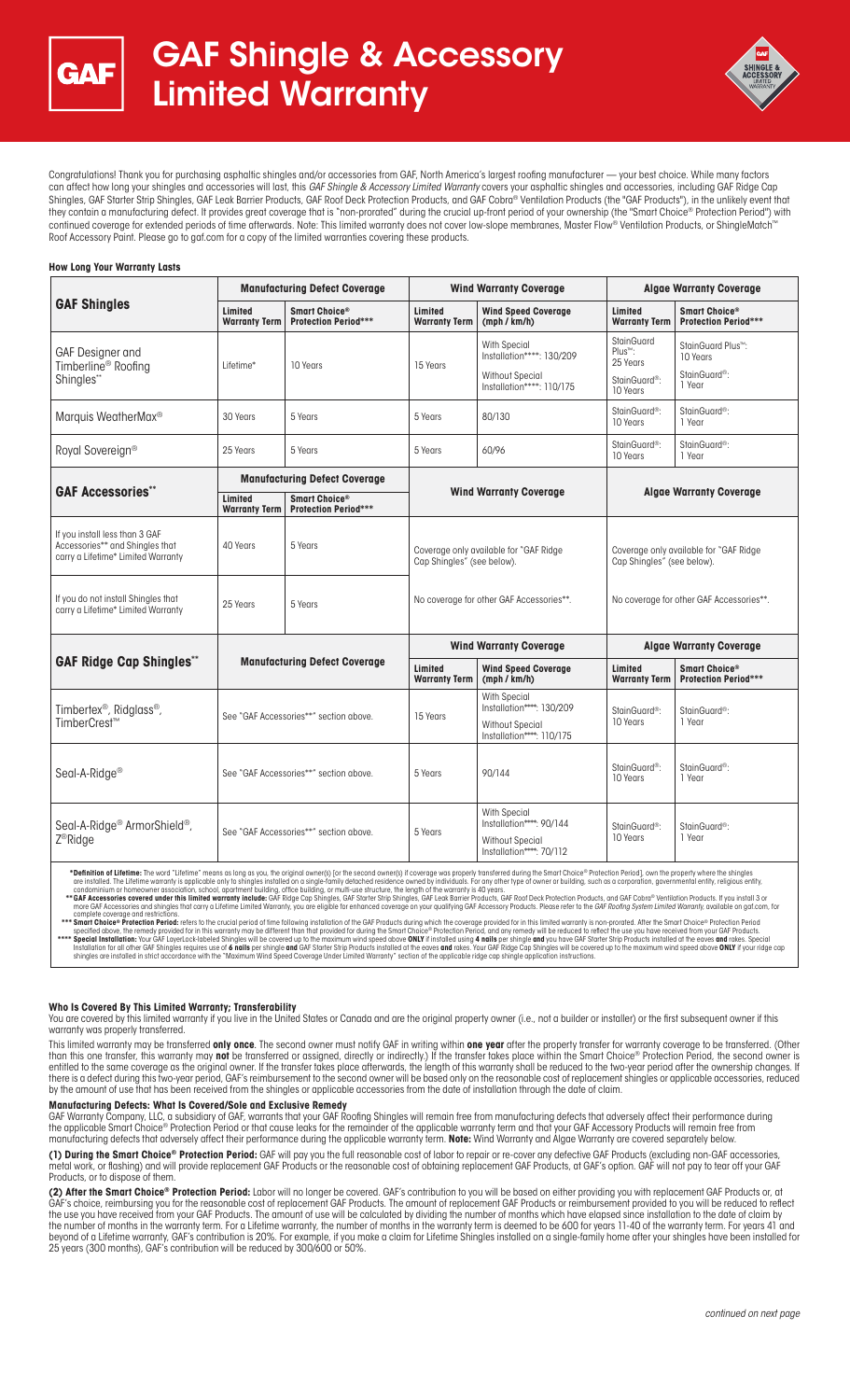



Congratulations! Thank you for purchasing asphaltic shingles and/or accessories from GAF, North America's largest roofing manufacturer — your best choice. While many factors can affect how long your shingles and accessories will last, this *GAF Shingle & Accessory Limited Warranty* covers your asphaltic shingles and accessories, including GAF Ridge Cap Shingles, GAF Starter Strip Shingles, GAF Leak Barrier Products, GAF Roof Deck Protection Products, and GAF Cobra® Ventilation Products (the "GAF Products"), in the unlikely event that they contain a manufacturing defect. It provides great coverage that is "non-prorated" during the crucial up-front period of your ownership (the "Smart Choice® Protection Period") with continued coverage for extended periods of time afterwards. Note: This limited warranty does not cover low-slope membranes, Master Flow® Ventilation Products, or ShingleMatch Roof Accessory Paint. Please go to gaf.com for a copy of the limited warranties covering these products.

#### **How Long Your Warranty Lasts**

| <b>GAF Shingles</b>                                                                                     | <b>Manufacturing Defect Coverage</b>   |                                                          | <b>Wind Warranty Coverage</b>                                                                                     |                                                                                                         | <b>Algae Warranty Coverage</b>                                                                                   |                                                                         |
|---------------------------------------------------------------------------------------------------------|----------------------------------------|----------------------------------------------------------|-------------------------------------------------------------------------------------------------------------------|---------------------------------------------------------------------------------------------------------|------------------------------------------------------------------------------------------------------------------|-------------------------------------------------------------------------|
|                                                                                                         | Limited<br><b>Warranty Term</b>        | Smart Choice <sup>®</sup><br><b>Protection Period***</b> | Limited<br><b>Warranty Term</b>                                                                                   | <b>Wind Speed Coverage</b><br>(mph / km/h)                                                              | Limited<br><b>Warranty Term</b>                                                                                  | Smart Choice <sup>®</sup><br><b>Protection Period***</b>                |
| GAF Designer and<br>Timberline <sup>®</sup> Roofing<br>Shingles**                                       | Lifetime*                              | 10 Years                                                 | 15 Years                                                                                                          | <b>With Special</b><br>Installation****: 130/209<br><b>Without Special</b>                              | <b>StainGuard</b><br>Plus <sup>™</sup> :<br>25 Years                                                             | StainGuard Plus <sup>™</sup> :<br>10 Years<br>StainGuard <sup>®</sup> : |
|                                                                                                         |                                        |                                                          |                                                                                                                   | Installation****: 110/175                                                                               | StainGuard <sup>®</sup> :<br>10 Years                                                                            | 1 Year                                                                  |
| Marquis WeatherMax <sup>®</sup>                                                                         | 30 Years                               | 5 Years                                                  | 5 Years                                                                                                           | 80/130                                                                                                  | StainGuard <sup>®</sup> :<br>10 Years                                                                            | StainGuard <sup>®</sup> :<br>1 Year                                     |
| Royal Sovereign®                                                                                        | 25 Years                               | 5 Years                                                  | 5 Years                                                                                                           | 60/96                                                                                                   | StainGuard <sup>®</sup> :<br>10 Years                                                                            | StainGuard <sup>®</sup> :<br>1 Year                                     |
| <b>GAF Accessories**</b>                                                                                | <b>Manufacturing Defect Coverage</b>   |                                                          | <b>Wind Warranty Coverage</b>                                                                                     |                                                                                                         | <b>Algae Warranty Coverage</b>                                                                                   |                                                                         |
|                                                                                                         | Limited<br><b>Warranty Term</b>        | Smart Choice®<br><b>Protection Period***</b>             |                                                                                                                   |                                                                                                         |                                                                                                                  |                                                                         |
| If you install less than 3 GAF<br>Accessories** and Shingles that<br>carry a Lifetime* Limited Warranty | 40 Years                               | 5 Years                                                  | Coverage only available for "GAF Ridge"<br>Cap Shingles" (see below).<br>No coverage for other GAF Accessories**. |                                                                                                         | Coverage only available for "GAF Ridge<br>Cap Shingles" (see below).<br>No coverage for other GAF Accessories**. |                                                                         |
| If you do not install Shingles that<br>carry a Lifetime* Limited Warranty                               | 25 Years                               | 5 Years                                                  |                                                                                                                   |                                                                                                         |                                                                                                                  |                                                                         |
| <b>GAF Ridge Cap Shingles**</b>                                                                         | <b>Manufacturing Defect Coverage</b>   |                                                          | <b>Wind Warranty Coverage</b>                                                                                     |                                                                                                         | <b>Algae Warranty Coverage</b>                                                                                   |                                                                         |
|                                                                                                         |                                        |                                                          | Limited<br><b>Warranty Term</b>                                                                                   | <b>Wind Speed Coverage</b><br>(mph / km/h)                                                              | Limited<br><b>Warranty Term</b>                                                                                  | Smart Choice®<br><b>Protection Period***</b>                            |
| Timbertex <sup>®</sup> , Ridglass <sup>®</sup> ,<br>TimberCrest™                                        | See "GAF Accessories**" section above. |                                                          | 15 Years                                                                                                          | <b>With Special</b><br>Installation****: 130/209<br><b>Without Special</b><br>Installation****: 110/175 | StainGuard <sup>®</sup> :<br>10 Years                                                                            | StainGuard <sup>®</sup> :<br>1 Year                                     |
| Seal-A-Ridge <sup>®</sup>                                                                               | See "GAF Accessories**" section above. |                                                          | 5 Years                                                                                                           | 90/144                                                                                                  | StainGuard <sup>®</sup> :<br>10 Years                                                                            | StainGuard <sup>®</sup> :<br>1 Year                                     |
| Seal-A-Ridge <sup>®</sup> ArmorShield <sup>®</sup> ,<br>Z <sup>®</sup> Ridge                            | See "GAF Accessories**" section above. |                                                          | 5 Years                                                                                                           | <b>With Special</b><br>Installation****: 90/144<br>Without Special<br>Installation****: 70/112          | StainGuard <sup>®</sup> :<br>10 Years                                                                            | StainGuard <sup>®</sup> :<br>1 Year                                     |

\*Definition of Lifetime: The word "Lifetime" means as long as you, the original owner(s) [or the second owner(s) if coverage was properly transferred during the Smart Choice® Protection Period), own the properly where the

#### **Who Is Covered By This Limited Warranty; Transferability**

You are covered by this limited warranty if you live in the United States or Canada and are the original property owner (i.e., not a builder or installer) or the first subsequent owner if this warranty was properly transferred.

This limited warranty may be transferred **only once**. The second owner must notify GAF in writing within **one year** after the property transfer for warranty coverage to be transferred. (Other than this one transfer, this warranty ma**y not** be transferred or assigned, directly or indirectly) If the transfer takes place within the Smart Choice® Protection Period, the second owner is<br>entitled to the same coverage there is a defect during this two-year period, GAF's reimbursement to the second owner will be based only on the reasonable cost of replacement shingles or applicable accessories, reduced by the amount of use that has been received from the shingles or applicable accessories from the date of installation through the date of claim.

#### **Manufacturing Defects: What Is Covered/Sole and Exclusive Remedy**

GAF Warranty Company, LLC, a subsidiary of GAF, warrants that your GAF Roofing Shingles will remain free from manufacturing defects that adversely affect their performance during<br>the applicable Smart Choice® Protection Per

**(1) During the Smart Choice® Protection Period:** GAF will pay you the full reasonable cost of labor to repair or re-cover any defective GAF Products (excluding non-GAF accessories, metal work, or flashing) and will provide replacement GAF Products or the reasonable cost of obtaining replacement GAF Products, at GAF's option. GAF will not pay to tear off your GAF Products, or to dispose of them.

**(2) After the Smart Choice® Protection Period:** Labor will no longer be covered. GAF's contribution to you will be based on either providing you with replacement GAF Products or, at GAF's choice, reimbursing you for the reasonable cost of replacement GAF Products. The amount of replacement GAF Products or reimbursement provided to you will be reduced to reflect the use you have received from your GAF Products. The amount of use will be calculated by dividing the number of months which have elapsed since installation to the date of claim by the number of months in the warranty term. For a Lifetime warranty, the number of months in the warranty term is deemed to be 600 for years 11-40 of the warranty term. For years 41 and beyond of a Lifetime warranty, GAF's contribution is 20%. For example, if you make a claim for Lifetime Shingles installed on a single-family home after your shingles have been installed for 25 years (300 months), GAF's contribution will be reduced by 300/600 or 50%.